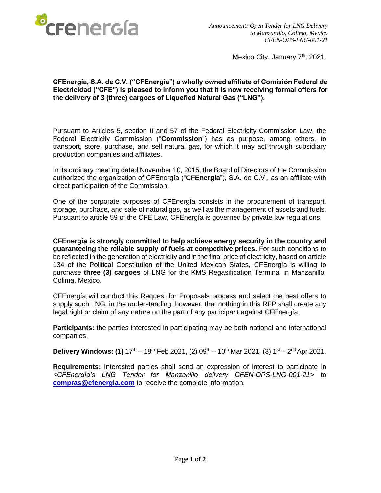

Mexico City, January 7<sup>th</sup>, 2021.

## **CFEnergía, S.A. de C.V. ("CFEnergía") a wholly owned affiliate of Comisión Federal de Electricidad ("CFE") is pleased to inform you that it is now receiving formal offers for the delivery of 3 (three) cargoes of Liquefied Natural Gas ("LNG").**

Pursuant to Articles 5, section II and 57 of the Federal Electricity Commission Law, the Federal Electricity Commission ("**Commission**") has as purpose, among others, to transport, store, purchase, and sell natural gas, for which it may act through subsidiary production companies and affiliates.

In its ordinary meeting dated November 10, 2015, the Board of Directors of the Commission authorized the organization of CFEnergía ("**CFEnergía**"), S.A. de C.V., as an affiliate with direct participation of the Commission.

One of the corporate purposes of CFEnergía consists in the procurement of transport, storage, purchase, and sale of natural gas, as well as the management of assets and fuels. Pursuant to article 59 of the CFE Law, CFEnergía is governed by private law regulations

**CFEnergía is strongly committed to help achieve energy security in the country and guaranteeing the reliable supply of fuels at competitive prices.** For such conditions to be reflected in the generation of electricity and in the final price of electricity, based on article 134 of the Political Constitution of the United Mexican States, CFEnergía is willing to purchase **three (3) cargoes** of LNG for the KMS Regasification Terminal in Manzanillo, Colima, Mexico.

CFEnergía will conduct this Request for Proposals process and select the best offers to supply such LNG, in the understanding, however, that nothing in this RFP shall create any legal right or claim of any nature on the part of any participant against CFEnergía.

**Participants:** the parties interested in participating may be both national and international companies.

**Delivery Windows: (1)**  $17<sup>th</sup> - 18<sup>th</sup>$  Feb 2021, (2) 09<sup>th</sup> – 10<sup>th</sup> Mar 2021, (3)  $1<sup>st</sup> - 2<sup>nd</sup>$  Apr 2021.

**Requirements:** Interested parties shall send an expression of interest to participate in *<CFEnergía's LNG Tender for Manzanillo delivery CFEN-OPS-LNG-001-21>* to **[compras@cfenergia.com](mailto:compras@cfenergia.com)** to receive the complete information.